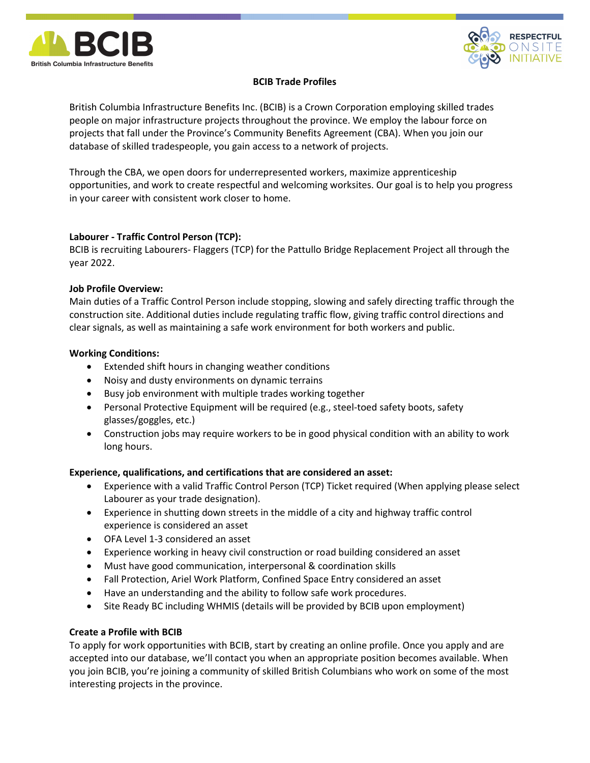



# BCIB Trade Profiles

British Columbia Infrastructure Benefits Inc. (BCIB) is a Crown Corporation employing skilled trades people on major infrastructure projects throughout the province. We employ the labour force on projects that fall under the Province's Community Benefits Agreement (CBA). When you join our database of skilled tradespeople, you gain access to a network of projects.

Through the CBA, we open doors for underrepresented workers, maximize apprenticeship opportunities, and work to create respectful and welcoming worksites. Our goal is to help you progress in your career with consistent work closer to home.

# Labourer - Traffic Control Person (TCP):

BCIB is recruiting Labourers- Flaggers (TCP) for the Pattullo Bridge Replacement Project all through the year 2022.

## Job Profile Overview:

Main duties of a Traffic Control Person include stopping, slowing and safely directing traffic through the construction site. Additional duties include regulating traffic flow, giving traffic control directions and clear signals, as well as maintaining a safe work environment for both workers and public.

## Working Conditions:

- Extended shift hours in changing weather conditions
- Noisy and dusty environments on dynamic terrains
- Busy job environment with multiple trades working together
- Personal Protective Equipment will be required (e.g., steel-toed safety boots, safety glasses/goggles, etc.)
- Construction jobs may require workers to be in good physical condition with an ability to work long hours.

## Experience, qualifications, and certifications that are considered an asset:

- Experience with a valid Traffic Control Person (TCP) Ticket required (When applying please select Labourer as your trade designation).
- Experience in shutting down streets in the middle of a city and highway traffic control experience is considered an asset
- OFA Level 1-3 considered an asset
- Experience working in heavy civil construction or road building considered an asset
- Must have good communication, interpersonal & coordination skills
- Fall Protection, Ariel Work Platform, Confined Space Entry considered an asset
- Have an understanding and the ability to follow safe work procedures.
- Site Ready BC including WHMIS (details will be provided by BCIB upon employment)

## Create a Profile with BCIB

To apply for work opportunities with BCIB, start by creating an online profile. Once you apply and are accepted into our database, we'll contact you when an appropriate position becomes available. When you join BCIB, you're joining a community of skilled British Columbians who work on some of the most interesting projects in the province.